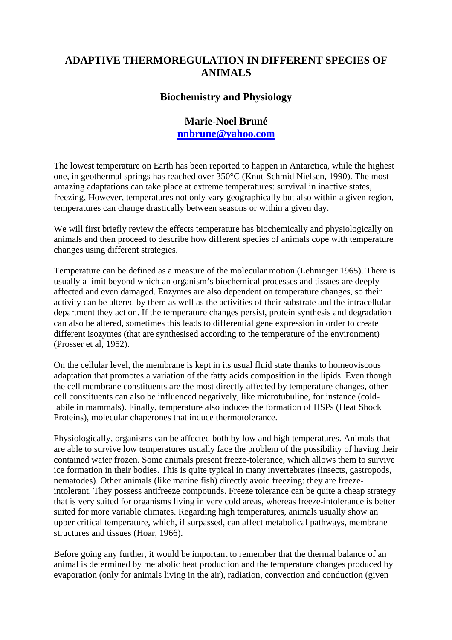## **ADAPTIVE THERMOREGULATION IN DIFFERENT SPECIES OF ANIMALS**

## **Biochemistry and Physiology**

## **Marie-Noel Bruné [nnbrune@yahoo.com](mailto:nnbrune@yahoo.com)**

The lowest temperature on Earth has been reported to happen in Antarctica, while the highest one, in geothermal springs has reached over 350°C (Knut-Schmid Nielsen, 1990). The most amazing adaptations can take place at extreme temperatures: survival in inactive states, freezing, However, temperatures not only vary geographically but also within a given region, temperatures can change drastically between seasons or within a given day.

We will first briefly review the effects temperature has biochemically and physiologically on animals and then proceed to describe how different species of animals cope with temperature changes using different strategies.

Temperature can be defined as a measure of the molecular motion (Lehninger 1965). There is usually a limit beyond which an organism's biochemical processes and tissues are deeply affected and even damaged. Enzymes are also dependent on temperature changes, so their activity can be altered by them as well as the activities of their substrate and the intracellular department they act on. If the temperature changes persist, protein synthesis and degradation can also be altered, sometimes this leads to differential gene expression in order to create different isozymes (that are synthesised according to the temperature of the environment) (Prosser et al, 1952).

On the cellular level, the membrane is kept in its usual fluid state thanks to homeoviscous adaptation that promotes a variation of the fatty acids composition in the lipids. Even though the cell membrane constituents are the most directly affected by temperature changes, other cell constituents can also be influenced negatively, like microtubuline, for instance (coldlabile in mammals). Finally, temperature also induces the formation of HSPs (Heat Shock Proteins), molecular chaperones that induce thermotolerance.

Physiologically, organisms can be affected both by low and high temperatures. Animals that are able to survive low temperatures usually face the problem of the possibility of having their contained water frozen. Some animals present freeze-tolerance, which allows them to survive ice formation in their bodies. This is quite typical in many invertebrates (insects, gastropods, nematodes). Other animals (like marine fish) directly avoid freezing: they are freezeintolerant. They possess antifreeze compounds. Freeze tolerance can be quite a cheap strategy that is very suited for organisms living in very cold areas, whereas freeze-intolerance is better suited for more variable climates. Regarding high temperatures, animals usually show an upper critical temperature, which, if surpassed, can affect metabolical pathways, membrane structures and tissues (Hoar, 1966).

Before going any further, it would be important to remember that the thermal balance of an animal is determined by metabolic heat production and the temperature changes produced by evaporation (only for animals living in the air), radiation, convection and conduction (given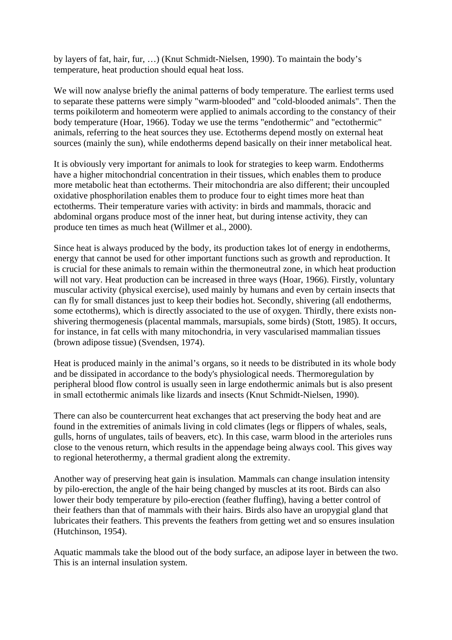by layers of fat, hair, fur, …) (Knut Schmidt-Nielsen, 1990). To maintain the body's temperature, heat production should equal heat loss.

We will now analyse briefly the animal patterns of body temperature. The earliest terms used to separate these patterns were simply "warm-blooded" and "cold-blooded animals". Then the terms poikiloterm and homeoterm were applied to animals according to the constancy of their body temperature (Hoar, 1966). Today we use the terms "endothermic" and "ectothermic" animals, referring to the heat sources they use. Ectotherms depend mostly on external heat sources (mainly the sun), while endotherms depend basically on their inner metabolical heat.

It is obviously very important for animals to look for strategies to keep warm. Endotherms have a higher mitochondrial concentration in their tissues, which enables them to produce more metabolic heat than ectotherms. Their mitochondria are also different; their uncoupled oxidative phosphorilation enables them to produce four to eight times more heat than ectotherms. Their temperature varies with activity: in birds and mammals, thoracic and abdominal organs produce most of the inner heat, but during intense activity, they can produce ten times as much heat (Willmer et al., 2000).

Since heat is always produced by the body, its production takes lot of energy in endotherms, energy that cannot be used for other important functions such as growth and reproduction. It is crucial for these animals to remain within the thermoneutral zone, in which heat production will not vary. Heat production can be increased in three ways (Hoar, 1966). Firstly, voluntary muscular activity (physical exercise), used mainly by humans and even by certain insects that can fly for small distances just to keep their bodies hot. Secondly, shivering (all endotherms, some ectotherms), which is directly associated to the use of oxygen. Thirdly, there exists nonshivering thermogenesis (placental mammals, marsupials, some birds) (Stott, 1985). It occurs, for instance, in fat cells with many mitochondria, in very vascularised mammalian tissues (brown adipose tissue) (Svendsen, 1974).

Heat is produced mainly in the animal's organs, so it needs to be distributed in its whole body and be dissipated in accordance to the body's physiological needs. Thermoregulation by peripheral blood flow control is usually seen in large endothermic animals but is also present in small ectothermic animals like lizards and insects (Knut Schmidt-Nielsen, 1990).

There can also be countercurrent heat exchanges that act preserving the body heat and are found in the extremities of animals living in cold climates (legs or flippers of whales, seals, gulls, horns of ungulates, tails of beavers, etc). In this case, warm blood in the arterioles runs close to the venous return, which results in the appendage being always cool. This gives way to regional heterothermy, a thermal gradient along the extremity.

Another way of preserving heat gain is insulation. Mammals can change insulation intensity by pilo-erection, the angle of the hair being changed by muscles at its root. Birds can also lower their body temperature by pilo-erection (feather fluffing), having a better control of their feathers than that of mammals with their hairs. Birds also have an uropygial gland that lubricates their feathers. This prevents the feathers from getting wet and so ensures insulation (Hutchinson, 1954).

Aquatic mammals take the blood out of the body surface, an adipose layer in between the two. This is an internal insulation system.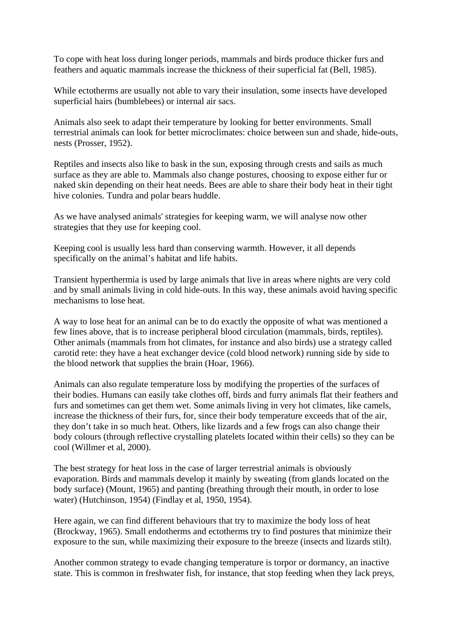To cope with heat loss during longer periods, mammals and birds produce thicker furs and feathers and aquatic mammals increase the thickness of their superficial fat (Bell, 1985).

While ectotherms are usually not able to vary their insulation, some insects have developed superficial hairs (bumblebees) or internal air sacs.

Animals also seek to adapt their temperature by looking for better environments. Small terrestrial animals can look for better microclimates: choice between sun and shade, hide-outs, nests (Prosser, 1952).

Reptiles and insects also like to bask in the sun, exposing through crests and sails as much surface as they are able to. Mammals also change postures, choosing to expose either fur or naked skin depending on their heat needs. Bees are able to share their body heat in their tight hive colonies. Tundra and polar bears huddle.

As we have analysed animals' strategies for keeping warm, we will analyse now other strategies that they use for keeping cool.

Keeping cool is usually less hard than conserving warmth. However, it all depends specifically on the animal's habitat and life habits.

Transient hyperthermia is used by large animals that live in areas where nights are very cold and by small animals living in cold hide-outs. In this way, these animals avoid having specific mechanisms to lose heat.

A way to lose heat for an animal can be to do exactly the opposite of what was mentioned a few lines above, that is to increase peripheral blood circulation (mammals, birds, reptiles). Other animals (mammals from hot climates, for instance and also birds) use a strategy called carotid rete: they have a heat exchanger device (cold blood network) running side by side to the blood network that supplies the brain (Hoar, 1966).

Animals can also regulate temperature loss by modifying the properties of the surfaces of their bodies. Humans can easily take clothes off, birds and furry animals flat their feathers and furs and sometimes can get them wet. Some animals living in very hot climates, like camels, increase the thickness of their furs, for, since their body temperature exceeds that of the air, they don't take in so much heat. Others, like lizards and a few frogs can also change their body colours (through reflective crystalling platelets located within their cells) so they can be cool (Willmer et al, 2000).

The best strategy for heat loss in the case of larger terrestrial animals is obviously evaporation. Birds and mammals develop it mainly by sweating (from glands located on the body surface) (Mount, 1965) and panting (breathing through their mouth, in order to lose water) (Hutchinson, 1954) (Findlay et al, 1950, 1954).

Here again, we can find different behaviours that try to maximize the body loss of heat (Brockway, 1965). Small endotherms and ectotherms try to find postures that minimize their exposure to the sun, while maximizing their exposure to the breeze (insects and lizards stilt).

Another common strategy to evade changing temperature is torpor or dormancy, an inactive state. This is common in freshwater fish, for instance, that stop feeding when they lack preys,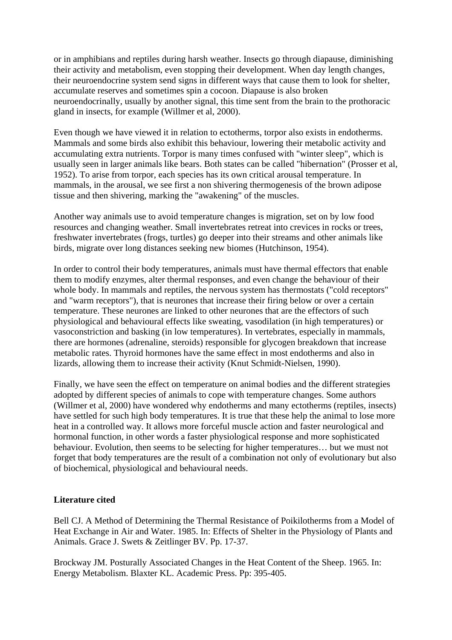or in amphibians and reptiles during harsh weather. Insects go through diapause, diminishing their activity and metabolism, even stopping their development. When day length changes, their neuroendocrine system send signs in different ways that cause them to look for shelter, accumulate reserves and sometimes spin a cocoon. Diapause is also broken neuroendocrinally, usually by another signal, this time sent from the brain to the prothoracic gland in insects, for example (Willmer et al, 2000).

Even though we have viewed it in relation to ectotherms, torpor also exists in endotherms. Mammals and some birds also exhibit this behaviour, lowering their metabolic activity and accumulating extra nutrients. Torpor is many times confused with "winter sleep", which is usually seen in larger animals like bears. Both states can be called "hibernation" (Prosser et al, 1952). To arise from torpor, each species has its own critical arousal temperature. In mammals, in the arousal, we see first a non shivering thermogenesis of the brown adipose tissue and then shivering, marking the "awakening" of the muscles.

Another way animals use to avoid temperature changes is migration, set on by low food resources and changing weather. Small invertebrates retreat into crevices in rocks or trees, freshwater invertebrates (frogs, turtles) go deeper into their streams and other animals like birds, migrate over long distances seeking new biomes (Hutchinson, 1954).

In order to control their body temperatures, animals must have thermal effectors that enable them to modify enzymes, alter thermal responses, and even change the behaviour of their whole body. In mammals and reptiles, the nervous system has thermostats ("cold receptors" and "warm receptors"), that is neurones that increase their firing below or over a certain temperature. These neurones are linked to other neurones that are the effectors of such physiological and behavioural effects like sweating, vasodilation (in high temperatures) or vasoconstriction and basking (in low temperatures). In vertebrates, especially in mammals, there are hormones (adrenaline, steroids) responsible for glycogen breakdown that increase metabolic rates. Thyroid hormones have the same effect in most endotherms and also in lizards, allowing them to increase their activity (Knut Schmidt-Nielsen, 1990).

Finally, we have seen the effect on temperature on animal bodies and the different strategies adopted by different species of animals to cope with temperature changes. Some authors (Willmer et al, 2000) have wondered why endotherms and many ectotherms (reptiles, insects) have settled for such high body temperatures. It is true that these help the animal to lose more heat in a controlled way. It allows more forceful muscle action and faster neurological and hormonal function, in other words a faster physiological response and more sophisticated behaviour. Evolution, then seems to be selecting for higher temperatures… but we must not forget that body temperatures are the result of a combination not only of evolutionary but also of biochemical, physiological and behavioural needs.

## **Literature cited**

Bell CJ. A Method of Determining the Thermal Resistance of Poikilotherms from a Model of Heat Exchange in Air and Water. 1985. In: Effects of Shelter in the Physiology of Plants and Animals. Grace J. Swets & Zeitlinger BV. Pp. 17-37.

Brockway JM. Posturally Associated Changes in the Heat Content of the Sheep. 1965. In: Energy Metabolism. Blaxter KL. Academic Press. Pp: 395-405.